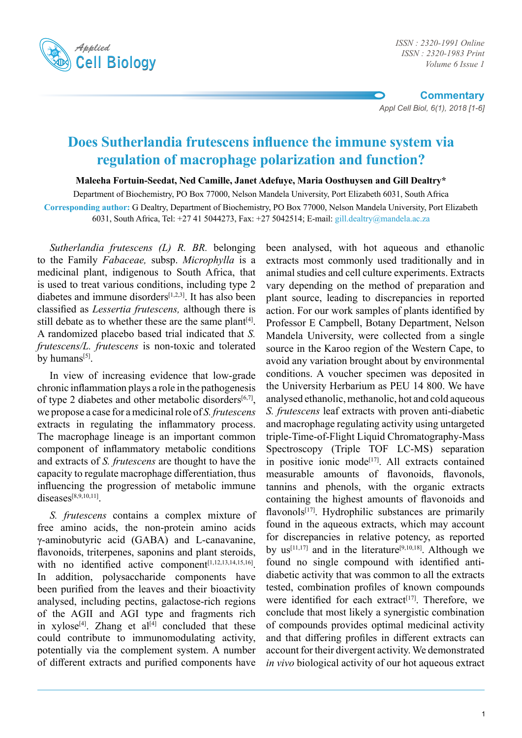

*ISSN : 2320-1983 Print Volume 6 Issue 1*

**Commentary** *Appl Cell Biol, 6(1), 2018 [1-6]*

# **Does Sutherlandia frutescens influence the immune system via regulation of macrophage polarization and function?**

**Maleeha Fortuin-Seedat, Ned Camille, Janet Adefuye, Maria Oosthuysen and Gill Dealtry\***

Department of Biochemistry, PO Box 77000, Nelson Mandela University, Port Elizabeth 6031, South Africa

**Corresponding author:** G Dealtry, Department of Biochemistry, PO Box 77000, Nelson Mandela University, Port Elizabeth 6031, South Africa, Tel: +27 41 5044273, Fax: +27 5042514; E-mail: gill.dealtry@mandela.ac.za

*Sutherlandia frutescens (L) R. BR.* belonging to the Family *Fabaceae,* subsp. *Microphylla* is a medicinal plant, indigenous to South Africa, that is used to treat various conditions, including type 2 diabetes and immune disorders $[1,2,3]$ . It has also been classified as *Lessertia frutescens,* although there is still debate as to whether these are the same plant<sup>[4]</sup>. A randomized placebo based trial indicated that *S. frutescens/L. frutescens* is non-toxic and tolerated by humans $[5]$ .

In view of increasing evidence that low-grade chronic inflammation plays a role in the pathogenesis of type 2 diabetes and other metabolic disorders<sup>[6,7]</sup>, we propose a case for a medicinal role of *S. frutescens* extracts in regulating the inflammatory process. The macrophage lineage is an important common component of inflammatory metabolic conditions and extracts of *S. frutescens* are thought to have the capacity to regulate macrophage differentiation, thus influencing the progression of metabolic immune diseases[8,9,10,11].

*S. frutescens* contains a complex mixture of free amino acids, the non-protein amino acids γ-aminobutyric acid (GABA) and L-canavanine, flavonoids, triterpenes, saponins and plant steroids, with no identified active component[1,12,13,14,15,16]. In addition, polysaccharide components have been purified from the leaves and their bioactivity analysed, including pectins, galactose-rich regions of the AGII and AGI type and fragments rich in xylose<sup>[4]</sup>. Zhang et al<sup>[4]</sup> concluded that these could contribute to immunomodulating activity, potentially via the complement system. A number of different extracts and purified components have

been analysed, with hot aqueous and ethanolic extracts most commonly used traditionally and in animal studies and cell culture experiments. Extracts vary depending on the method of preparation and plant source, leading to discrepancies in reported action. For our work samples of plants identified by Professor E Campbell, Botany Department, Nelson Mandela University, were collected from a single source in the Karoo region of the Western Cape, to avoid any variation brought about by environmental conditions. A voucher specimen was deposited in the University Herbarium as PEU 14 800. We have analysed ethanolic, methanolic, hot and cold aqueous *S. frutescens* leaf extracts with proven anti-diabetic and macrophage regulating activity using untargeted triple-Time-of-Flight Liquid Chromatography-Mass Spectroscopy (Triple TOF LC-MS) separation in positive ionic mode<sup>[17]</sup>. All extracts contained measurable amounts of flavonoids, flavonols, tannins and phenols, with the organic extracts containing the highest amounts of flavonoids and flavonols<sup>[17]</sup>. Hydrophilic substances are primarily found in the aqueous extracts, which may account for discrepancies in relative potency, as reported by us<sup>[11,17]</sup> and in the literature<sup>[9,10,18]</sup>. Although we found no single compound with identified antidiabetic activity that was common to all the extracts tested, combination profiles of known compounds were identified for each extract<sup>[17]</sup>. Therefore, we conclude that most likely a synergistic combination of compounds provides optimal medicinal activity and that differing profiles in different extracts can account for their divergent activity. We demonstrated *in vivo* biological activity of our hot aqueous extract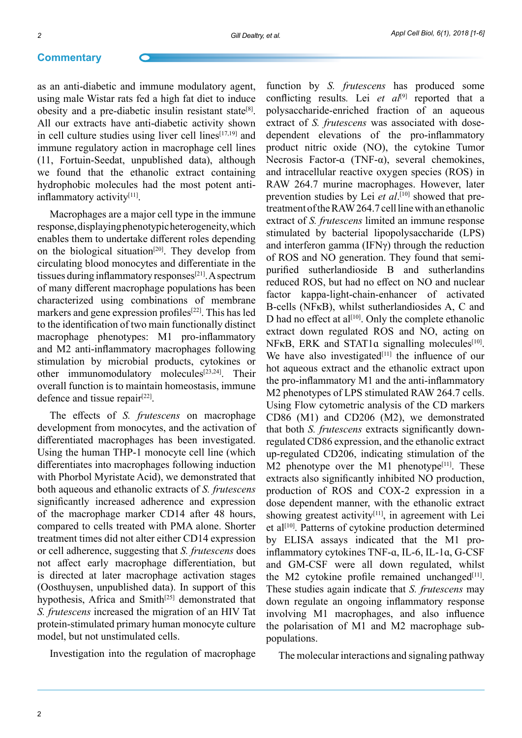#### **Commentary**

as an anti-diabetic and immune modulatory agent, using male Wistar rats fed a high fat diet to induce obesity and a pre-diabetic insulin resistant state<sup>[8]</sup>. All our extracts have anti-diabetic activity shown in cell culture studies using liver cell lines<sup>[17,19]</sup> and immune regulatory action in macrophage cell lines (11, Fortuin-Seedat, unpublished data), although we found that the ethanolic extract containing hydrophobic molecules had the most potent antiinflammatory activity<sup>[11]</sup>.

Macrophages are a major cell type in the immune response, displaying phenotypic heterogeneity, which enables them to undertake different roles depending on the biological situation<sup>[20]</sup>. They develop from circulating blood monocytes and differentiate in the tissues during inflammatory responses<sup>[21]</sup>. A spectrum of many different macrophage populations has been characterized using combinations of membrane markers and gene expression profiles<sup>[22]</sup>. This has led to the identification of two main functionally distinct macrophage phenotypes: M1 pro-inflammatory and M2 anti-inflammatory macrophages following stimulation by microbial products, cytokines or other immunomodulatory molecules<sup>[23,24]</sup>. Their overall function is to maintain homeostasis, immune defence and tissue repair $[22]$ .

The effects of *S. frutescens* on macrophage development from monocytes, and the activation of differentiated macrophages has been investigated. Using the human THP-1 monocyte cell line (which differentiates into macrophages following induction with Phorbol Myristate Acid), we demonstrated that both aqueous and ethanolic extracts of *S. frutescens*  significantly increased adherence and expression of the macrophage marker CD14 after 48 hours, compared to cells treated with PMA alone. Shorter treatment times did not alter either CD14 expression or cell adherence, suggesting that *S. frutescens* does not affect early macrophage differentiation, but is directed at later macrophage activation stages (Oosthuysen, unpublished data). In support of this hypothesis, Africa and Smith<sup>[25]</sup> demonstrated that *S. frutescens* increased the migration of an HIV Tat protein-stimulated primary human monocyte culture model, but not unstimulated cells.

Investigation into the regulation of macrophage

function by *S. frutescens* has produced some conflicting results*.* Lei *et al*[9] reported that a polysaccharide-enriched fraction of an aqueous extract of *S. frutescens* was associated with dosedependent elevations of the pro-inflammatory product nitric oxide (NO), the cytokine Tumor Necrosis Factor- $\alpha$  (TNF- $\alpha$ ), several chemokines, and intracellular reactive oxygen species (ROS) in RAW 264.7 murine macrophages. However, later prevention studies by Lei *et al*.<sup>[10]</sup> showed that pretreatment of the RAW 264.7 cell line with an ethanolic extract of *S. frutescens* limited an immune response stimulated by bacterial lipopolysaccharide (LPS) and interferon gamma (IFNγ) through the reduction of ROS and NO generation. They found that semipurified sutherlandioside B and sutherlandins reduced ROS, but had no effect on NO and nuclear factor kappa-light-chain-enhancer of activated B-cells (NFκB), whilst sutherlandiosides A, C and D had no effect at al<sup>[10]</sup>. Only the complete ethanolic extract down regulated ROS and NO, acting on NFκB, ERK and STAT1 $α$  signalling molecules<sup>[10]</sup>. We have also investigated<sup>[11]</sup> the influence of our hot aqueous extract and the ethanolic extract upon the pro-inflammatory M1 and the anti-inflammatory M<sub>2</sub> phenotypes of LPS stimulated RAW 264.7 cells. Using Flow cytometric analysis of the CD markers CD86 (M1) and CD206 (M2), we demonstrated that both *S. frutescens* extracts significantly downregulated CD86 expression, and the ethanolic extract up-regulated CD206, indicating stimulation of the  $M2$  phenotype over the M1 phenotype<sup>[11]</sup>. These extracts also significantly inhibited NO production, production of ROS and COX-2 expression in a dose dependent manner, with the ethanolic extract showing greatest activity<sup>[11]</sup>, in agreement with Lei et al<sup>[10]</sup>. Patterns of cytokine production determined by ELISA assays indicated that the M1 proinflammatory cytokines TNF-ɑ, IL-6, IL-1ɑ, G-CSF and GM-CSF were all down regulated, whilst the M2 cytokine profile remained unchanged $[11]$ . These studies again indicate that *S. frutescens* may down regulate an ongoing inflammatory response involving M1 macrophages, and also influence the polarisation of M1 and M2 macrophage subpopulations.

The molecular interactions and signaling pathway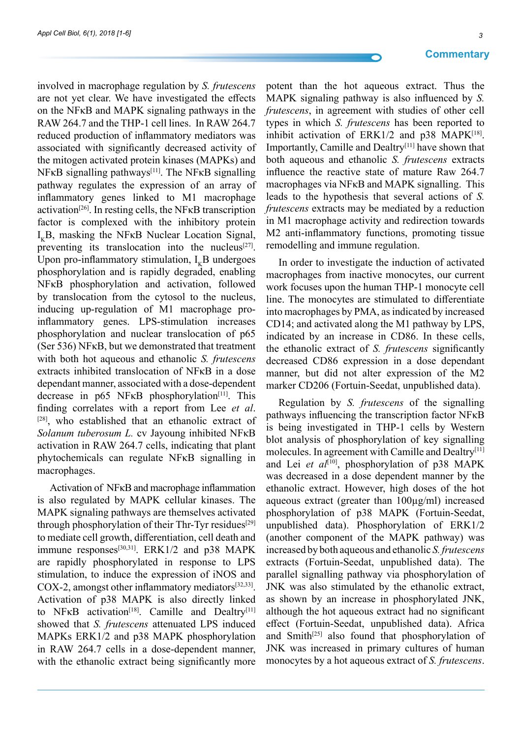involved in macrophage regulation by *S. frutescens* are not yet clear. We have investigated the effects on the NFκB and MAPK signaling pathways in the RAW 264.7 and the THP-1 cell lines. In RAW 264.7 reduced production of inflammatory mediators was associated with significantly decreased activity of the mitogen activated protein kinases (MAPKs) and  $N$ FKB signalling pathways<sup>[11]</sup>. The NFKB signalling pathway regulates the expression of an array of inflammatory genes linked to M1 macrophage activation[26]. In resting cells, the NFκB transcription factor is complexed with the inhibitory protein  $I_{K}B$ , masking the NF $\kappa B$  Nuclear Location Signal, preventing its translocation into the nucleus $[27]$ . Upon pro-inflammatory stimulation,  $I_{\nu}B$  undergoes phosphorylation and is rapidly degraded, enabling NFκB phosphorylation and activation, followed by translocation from the cytosol to the nucleus, inducing up-regulation of M1 macrophage proinflammatory genes. LPS-stimulation increases phosphorylation and nuclear translocation of p65 (Ser 536) NFκB, but we demonstrated that treatment with both hot aqueous and ethanolic *S. frutescens*  extracts inhibited translocation of NFκB in a dose dependant manner, associated with a dose-dependent decrease in  $p65$  NF $\kappa$ B phosphorylation<sup>[11]</sup>. This finding correlates with a report from Lee *et al*. [28], who established that an ethanolic extract of *Solanum tuberosum L.* cv Jayoung inhibited NFκB activation in RAW 264.7 cells, indicating that plant phytochemicals can regulate NFκB signalling in macrophages.

Activation of NFκB and macrophage inflammation is also regulated by MAPK cellular kinases. The MAPK signaling pathways are themselves activated through phosphorylation of their Thr-Tyr residues<sup>[29]</sup> to mediate cell growth, differentiation, cell death and immune responses<sup>[30,31]</sup>. ERK1/2 and p38 MAPK are rapidly phosphorylated in response to LPS stimulation, to induce the expression of iNOS and COX-2, amongst other inflammatory mediators $[32,33]$ . Activation of p38 MAPK is also directly linked to NFKB activation<sup>[18]</sup>. Camille and Dealtry<sup>[11]</sup> showed that *S. frutescens* attenuated LPS induced MAPKs ERK1/2 and p38 MAPK phosphorylation in RAW 264.7 cells in a dose-dependent manner, with the ethanolic extract being significantly more

potent than the hot aqueous extract. Thus the MAPK signaling pathway is also influenced by *S. frutescens*, in agreement with studies of other cell types in which *S. frutescens* has been reported to inhibit activation of  $ERK1/2$  and p38 MAPK<sup>[18]</sup>. Importantly, Camille and Dealtry[11] have shown that both aqueous and ethanolic *S. frutescens* extracts influence the reactive state of mature Raw 264.7 macrophages via NFκB and MAPK signalling. This leads to the hypothesis that several actions of *S. frutescens* extracts may be mediated by a reduction in M1 macrophage activity and redirection towards M2 anti-inflammatory functions, promoting tissue remodelling and immune regulation.

In order to investigate the induction of activated macrophages from inactive monocytes, our current work focuses upon the human THP-1 monocyte cell line. The monocytes are stimulated to differentiate into macrophages by PMA, as indicated by increased CD14; and activated along the M1 pathway by LPS, indicated by an increase in CD86. In these cells, the ethanolic extract of *S. frutescens* significantly decreased CD86 expression in a dose dependant manner, but did not alter expression of the M2 marker CD206 (Fortuin-Seedat, unpublished data).

Regulation by *S. frutescens* of the signalling pathways influencing the transcription factor NFκB is being investigated in THP-1 cells by Western blot analysis of phosphorylation of key signalling molecules. In agreement with Camille and Dealtry<sup>[11]</sup> and Lei et al<sup>[10]</sup>, phosphorylation of p38 MAPK was decreased in a dose dependent manner by the ethanolic extract. However, high doses of the hot aqueous extract (greater than 100µg/ml) increased phosphorylation of p38 MAPK (Fortuin-Seedat, unpublished data). Phosphorylation of ERK1/2 (another component of the MAPK pathway) was increased by both aqueous and ethanolic *S. frutescens*  extracts (Fortuin-Seedat, unpublished data). The parallel signalling pathway via phosphorylation of JNK was also stimulated by the ethanolic extract, as shown by an increase in phosphorylated JNK, although the hot aqueous extract had no significant effect (Fortuin-Seedat, unpublished data). Africa and Smith<sup>[25]</sup> also found that phosphorylation of JNK was increased in primary cultures of human monocytes by a hot aqueous extract of *S. frutescens*.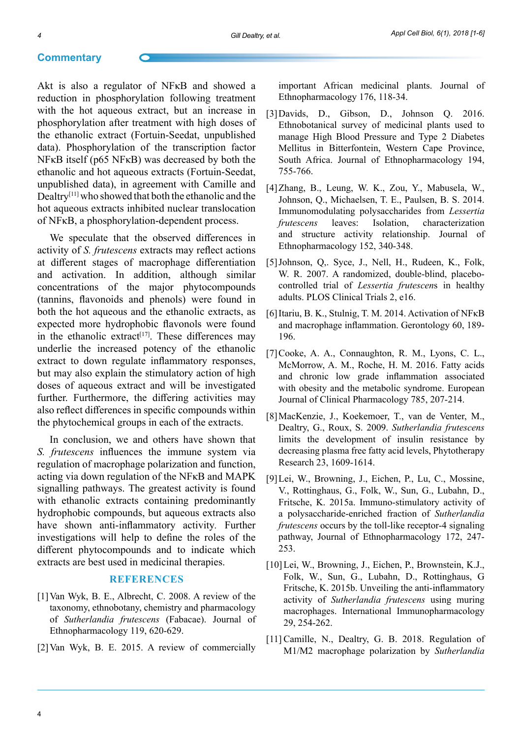### **Commentary**

Akt is also a regulator of NFκB and showed a reduction in phosphorylation following treatment with the hot aqueous extract, but an increase in phosphorylation after treatment with high doses of the ethanolic extract (Fortuin-Seedat, unpublished data). Phosphorylation of the transcription factor NFκB itself (p65 NFκB) was decreased by both the ethanolic and hot aqueous extracts (Fortuin-Seedat, unpublished data), in agreement with Camille and Dealtry[11] who showed that both the ethanolic and the hot aqueous extracts inhibited nuclear translocation of NFκB, a phosphorylation-dependent process.

We speculate that the observed differences in activity of *S. frutescens* extracts may reflect actions at different stages of macrophage differentiation and activation. In addition, although similar concentrations of the major phytocompounds (tannins, flavonoids and phenols) were found in both the hot aqueous and the ethanolic extracts, as expected more hydrophobic flavonols were found in the ethanolic extract<sup>[17]</sup>. These differences may underlie the increased potency of the ethanolic extract to down regulate inflammatory responses, but may also explain the stimulatory action of high doses of aqueous extract and will be investigated further. Furthermore, the differing activities may also reflect differences in specific compounds within the phytochemical groups in each of the extracts.

In conclusion, we and others have shown that *S. frutescens* influences the immune system via regulation of macrophage polarization and function, acting via down regulation of the NFκB and MAPK signalling pathways. The greatest activity is found with ethanolic extracts containing predominantly hydrophobic compounds, but aqueous extracts also have shown anti-inflammatory activity*.* Further investigations will help to define the roles of the different phytocompounds and to indicate which extracts are best used in medicinal therapies.

## **References**

- [1]Van Wyk, B. E., Albrecht, C. 2008. A review of the taxonomy, ethnobotany, chemistry and pharmacology of *Sutherlandia frutescens* (Fabacae). Journal of Ethnopharmacology 119, 620-629.
- [2]Van Wyk, B. E. 2015. A review of commercially

important African medicinal plants. Journal of Ethnopharmacology 176, 118-34.

- [3]Davids, D., Gibson, D., Johnson Q. 2016. Ethnobotanical survey of medicinal plants used to manage High Blood Pressure and Type 2 Diabetes Mellitus in Bitterfontein, Western Cape Province, South Africa. Journal of Ethnopharmacology 194, 755-766.
- [4]Zhang, B., Leung, W. K., Zou, Y., Mabusela, W., Johnson, Q., Michaelsen, T. E., Paulsen, B. S. 2014. Immunomodulating polysaccharides from *Lessertia frutescens* leaves: Isolation, characterization and structure activity relationship. Journal of Ethnopharmacology 152, 340-348.
- [5]Johnson, Q,. Syce, J., Nell, H., Rudeen, K., Folk, W. R. 2007. A randomized, double-blind, placebocontrolled trial of *Lessertia frutescen*s in healthy adults. PLOS Clinical Trials 2, e16.
- [6]Itariu, B. K., Stulnig, T. M. 2014. Activation of NFκB and macrophage inflammation. Gerontology 60, 189- 196.
- [7]Cooke, A. A., Connaughton, R. M., Lyons, C. L., McMorrow, A. M., Roche, H. M. 2016. Fatty acids and chronic low grade inflammation associated with obesity and the metabolic syndrome. European Journal of Clinical Pharmacology 785, 207-214.
- [8]MacKenzie, J., Koekemoer, T., van de Venter, M., Dealtry, G., Roux, S. 2009. *Sutherlandia frutescens* limits the development of insulin resistance by decreasing plasma free fatty acid levels, Phytotherapy Research 23, 1609-1614.
- [9]Lei, W., Browning, J., Eichen, P., Lu, C., Mossine, V., Rottinghaus, G., Folk, W., Sun, G., Lubahn, D., Fritsche, K. 2015a. Immuno-stimulatory activity of a polysaccharide-enriched fraction of *Sutherlandia frutescens* occurs by the toll-like receptor-4 signaling pathway, Journal of Ethnopharmacology 172, 247- 253.
- [10]Lei, W., Browning, J., Eichen, P., Brownstein, K.J., Folk, W., Sun, G., Lubahn, D., Rottinghaus, G Fritsche, K. 2015b. Unveiling the anti-inflammatory activity of *Sutherlandia frutescens* using muring macrophages. International Immunopharmacology 29, 254-262.
- [11] Camille, N., Dealtry, G. B. 2018. Regulation of M1/M2 macrophage polarization by *Sutherlandia*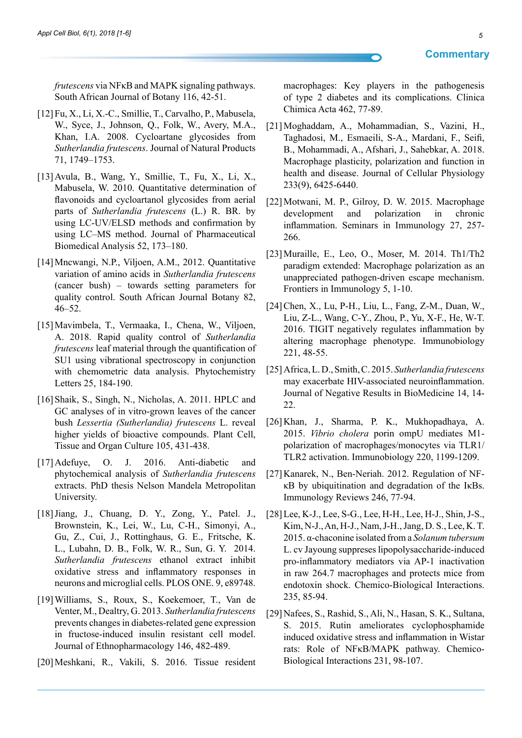*frutescens* via NFκB and MAPK signaling pathways. South African Journal of Botany 116, 42-51.

- [12]Fu, X., Li, X.-C., Smillie, T., Carvalho, P., Mabusela, W., Syce, J., Johnson, Q., Folk, W., Avery, M.A., Khan, I.A. 2008. Cycloartane glycosides from *Sutherlandia frutescens*. Journal of Natural Products 71, 1749–1753.
- [13]Avula, B., Wang, Y., Smillie, T., Fu, X., Li, X., Mabusela, W. 2010. Quantitative determination of flavonoids and cycloartanol glycosides from aerial parts of *Sutherlandia frutescens* (L.) R. BR. by using LC-UV/ELSD methods and confirmation by using LC–MS method. Journal of Pharmaceutical Biomedical Analysis 52, 173–180.
- [14]Mncwangi, N.P., Viljoen, A.M., 2012. Quantitative variation of amino acids in *Sutherlandia frutescens* (cancer bush) – towards setting parameters for quality control. South African Journal Botany 82, 46–52.
- [15]Mavimbela, T., Vermaaka, I., Chena, W., Viljoen, A. 2018. Rapid quality control of *Sutherlandia frutescens* leaf material through the quantification of SU1 using vibrational spectroscopy in conjunction with chemometric data analysis. Phytochemistry Letters 25, 184-190.
- [16] Shaik, S., Singh, N., Nicholas, A. 2011. HPLC and GC analyses of in vitro-grown leaves of the cancer bush *Lessertia (Sutherlandia) frutescens* L. reveal higher yields of bioactive compounds. Plant Cell, Tissue and Organ Culture 105, 431-438.
- [17]Adefuye, O. J. 2016. Anti-diabetic and phytochemical analysis of *Sutherlandia frutescens* extracts. PhD thesis Nelson Mandela Metropolitan University.
- [18]Jiang, J., Chuang, D. Y., Zong, Y., Patel. J., Brownstein, K., Lei, W., Lu, C-H., Simonyi, A., Gu, Z., Cui, J., Rottinghaus, G. E., Fritsche, K. L., Lubahn, D. B., Folk, W. R., Sun, G. Y. 2014. *Sutherlandia frutescens* ethanol extract inhibit oxidative stress and inflammatory responses in neurons and microglial cells. PLOS ONE. 9, e89748.
- [19]Williams, S., Roux, S., Koekemoer, T., Van de Venter, M., Dealtry, G. 2013. *Sutherlandia frutescens* prevents changes in diabetes-related gene expression in fructose-induced insulin resistant cell model. Journal of Ethnopharmacology 146, 482-489.
- [20]Meshkani, R., Vakili, S. 2016. Tissue resident

macrophages: Key players in the pathogenesis of type 2 diabetes and its complications. Clinica Chimica Acta 462, 77-89.

- [21]Moghaddam, A., Mohammadian, S., Vazini, H., Taghadosi, M., Esmaeili, S-A., Mardani, F., Seifi, B., Mohammadi, A., Afshari, J., Sahebkar, A. 2018. Macrophage plasticity, polarization and function in health and disease. Journal of Cellular Physiology 233(9), 6425-6440.
- [22]Motwani, M. P., Gilroy, D. W. 2015. Macrophage development and polarization in chronic inflammation. Seminars in Immunology 27, 257- 266.
- [23]Muraille, E., Leo, O., Moser, M. 2014. Th1/Th2 paradigm extended: Macrophage polarization as an unappreciated pathogen-driven escape mechanism. Frontiers in Immunology 5, 1-10.
- [24]Chen, X., Lu, P-H., Liu, L., Fang, Z-M., Duan, W., Liu, Z-L., Wang, C-Y., Zhou, P., Yu, X-F., He, W-T. 2016. TIGIT negatively regulates inflammation by altering macrophage phenotype. Immunobiology 221, 48-55.
- [25]Africa, L. D., Smith, C. 2015. *Sutherlandia frutescens* may exacerbate HIV-associated neuroinflammation. Journal of Negative Results in BioMedicine 14, 14- 22.
- [26]Khan, J., Sharma, P. K., Mukhopadhaya, A. 2015. *Vibrio cholera* porin ompU mediates M1 polarization of macrophages/monocytes via TLR1/ TLR2 activation. Immunobiology 220, 1199-1209.
- [27]Kanarek, N., Ben-Neriah. 2012. Regulation of NFκB by ubiquitination and degradation of the IκBs. Immunology Reviews 246, 77-94.
- [28]Lee, K-J., Lee, S-G., Lee, H-H., Lee, H-J., Shin, J-S., Kim, N-J., An, H-J., Nam, J-H., Jang, D. S., Lee, K. T. 2015. α-chaconine isolated from a *Solanum tubersum* L. cv Jayoung suppreses lipopolysaccharide-induced pro-inflammatory mediators via AP-1 inactivation in raw 264.7 macrophages and protects mice from endotoxin shock. Chemico-Biological Interactions. 235, 85-94.
- [29]Nafees, S., Rashid, S., Ali, N., Hasan, S. K., Sultana, S. 2015. Rutin ameliorates cyclophosphamide induced oxidative stress and inflammation in Wistar rats: Role of NFκB/MAPK pathway. Chemico-Biological Interactions 231, 98-107.

## **Commentary**